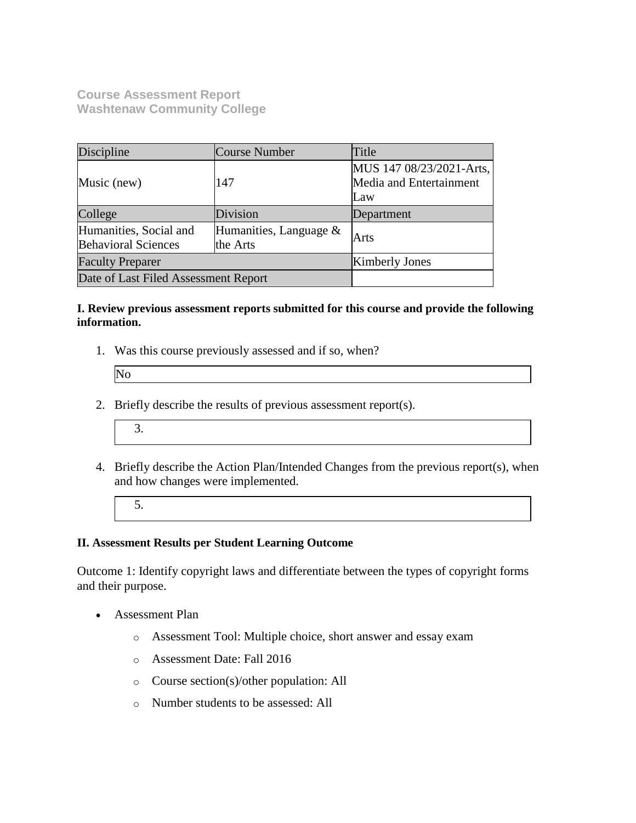**Course Assessment Report Washtenaw Community College**

| Discipline                                                                                    | <b>Course Number</b> | Title                                                      |
|-----------------------------------------------------------------------------------------------|----------------------|------------------------------------------------------------|
| Music (new)                                                                                   | 147                  | MUS 147 08/23/2021-Arts,<br>Media and Entertainment<br>Law |
| College                                                                                       | Division             | Department                                                 |
| Humanities, Social and<br>Humanities, Language $\&$<br><b>Behavioral Sciences</b><br>the Arts |                      | Arts                                                       |
| <b>Faculty Preparer</b>                                                                       |                      | <b>Kimberly Jones</b>                                      |
| Date of Last Filed Assessment Report                                                          |                      |                                                            |

### **I. Review previous assessment reports submitted for this course and provide the following information.**

1. Was this course previously assessed and if so, when?

| No |  |  |
|----|--|--|
|    |  |  |

- 2. Briefly describe the results of previous assessment report(s).
	- 3.
- 4. Briefly describe the Action Plan/Intended Changes from the previous report(s), when and how changes were implemented.
	- 5.

### **II. Assessment Results per Student Learning Outcome**

Outcome 1: Identify copyright laws and differentiate between the types of copyright forms and their purpose.

- Assessment Plan
	- o Assessment Tool: Multiple choice, short answer and essay exam
	- o Assessment Date: Fall 2016
	- o Course section(s)/other population: All
	- o Number students to be assessed: All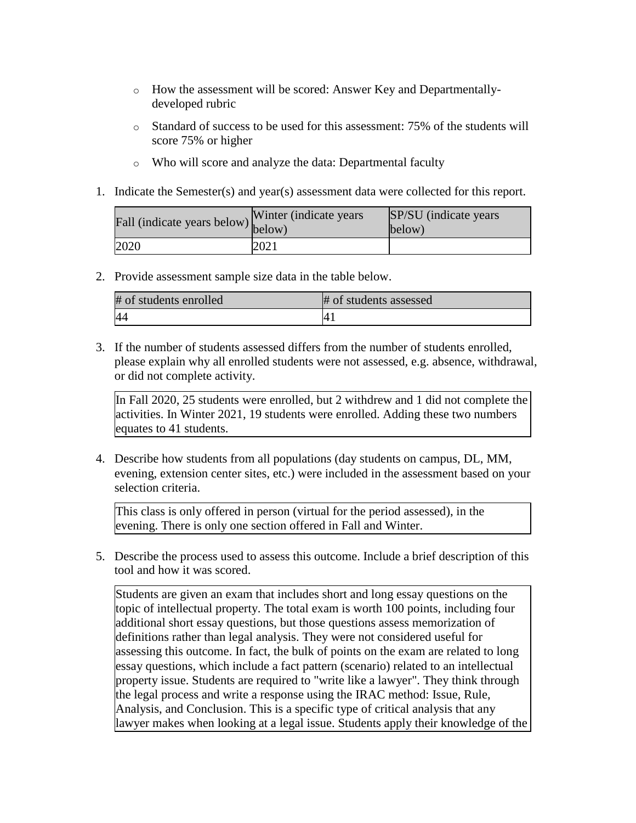- o How the assessment will be scored: Answer Key and Departmentallydeveloped rubric
- o Standard of success to be used for this assessment: 75% of the students will score 75% or higher
- o Who will score and analyze the data: Departmental faculty
- 1. Indicate the Semester(s) and year(s) assessment data were collected for this report.

| rall (indicate years below) below) | Winter (indicate years) | SP/SU (indicate years)<br>below) |
|------------------------------------|-------------------------|----------------------------------|
| 2020                               | 2021                    |                                  |

2. Provide assessment sample size data in the table below.

| # of students enrolled | # of students assessed |
|------------------------|------------------------|
| 44                     | 4 <sub>1</sub>         |

3. If the number of students assessed differs from the number of students enrolled, please explain why all enrolled students were not assessed, e.g. absence, withdrawal, or did not complete activity.

In Fall 2020, 25 students were enrolled, but 2 withdrew and 1 did not complete the activities. In Winter 2021, 19 students were enrolled. Adding these two numbers equates to 41 students.

4. Describe how students from all populations (day students on campus, DL, MM, evening, extension center sites, etc.) were included in the assessment based on your selection criteria.

This class is only offered in person (virtual for the period assessed), in the evening. There is only one section offered in Fall and Winter.

5. Describe the process used to assess this outcome. Include a brief description of this tool and how it was scored.

Students are given an exam that includes short and long essay questions on the topic of intellectual property. The total exam is worth 100 points, including four additional short essay questions, but those questions assess memorization of definitions rather than legal analysis. They were not considered useful for assessing this outcome. In fact, the bulk of points on the exam are related to long essay questions, which include a fact pattern (scenario) related to an intellectual property issue. Students are required to "write like a lawyer". They think through the legal process and write a response using the IRAC method: Issue, Rule, Analysis, and Conclusion. This is a specific type of critical analysis that any lawyer makes when looking at a legal issue. Students apply their knowledge of the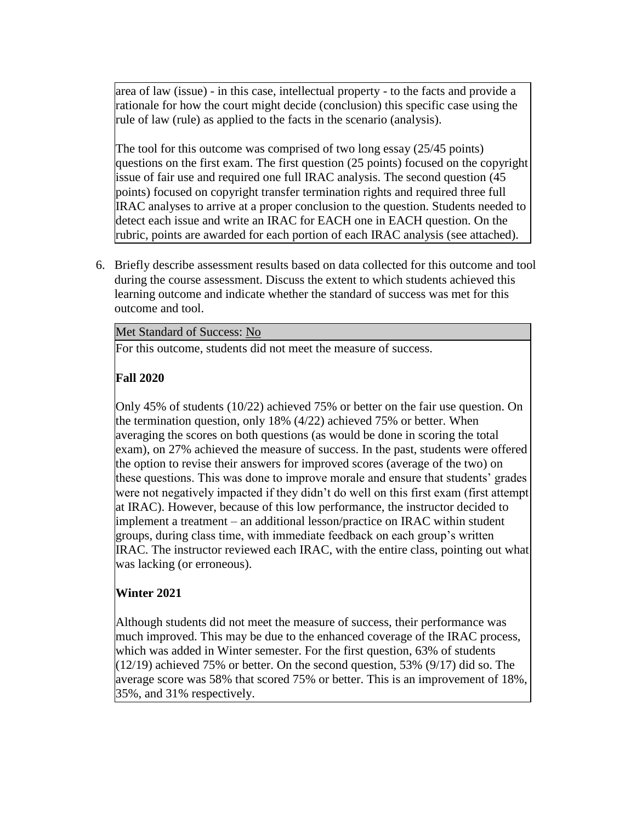area of law (issue) - in this case, intellectual property - to the facts and provide a rationale for how the court might decide (conclusion) this specific case using the rule of law (rule) as applied to the facts in the scenario (analysis).

The tool for this outcome was comprised of two long essay (25/45 points) questions on the first exam. The first question (25 points) focused on the copyright issue of fair use and required one full IRAC analysis. The second question (45 points) focused on copyright transfer termination rights and required three full IRAC analyses to arrive at a proper conclusion to the question. Students needed to detect each issue and write an IRAC for EACH one in EACH question. On the rubric, points are awarded for each portion of each IRAC analysis (see attached).

6. Briefly describe assessment results based on data collected for this outcome and tool during the course assessment. Discuss the extent to which students achieved this learning outcome and indicate whether the standard of success was met for this outcome and tool.

### Met Standard of Success: No

For this outcome, students did not meet the measure of success.

# **Fall 2020**

Only 45% of students (10/22) achieved 75% or better on the fair use question. On the termination question, only 18% (4/22) achieved 75% or better. When averaging the scores on both questions (as would be done in scoring the total exam), on 27% achieved the measure of success. In the past, students were offered the option to revise their answers for improved scores (average of the two) on these questions. This was done to improve morale and ensure that students' grades were not negatively impacted if they didn't do well on this first exam (first attempt at IRAC). However, because of this low performance, the instructor decided to implement a treatment – an additional lesson/practice on IRAC within student groups, during class time, with immediate feedback on each group's written IRAC. The instructor reviewed each IRAC, with the entire class, pointing out what was lacking (or erroneous).

## **Winter 2021**

Although students did not meet the measure of success, their performance was much improved. This may be due to the enhanced coverage of the IRAC process, which was added in Winter semester. For the first question, 63% of students  $(12/19)$  achieved 75% or better. On the second question, 53% (9/17) did so. The average score was 58% that scored 75% or better. This is an improvement of 18%, 35%, and 31% respectively.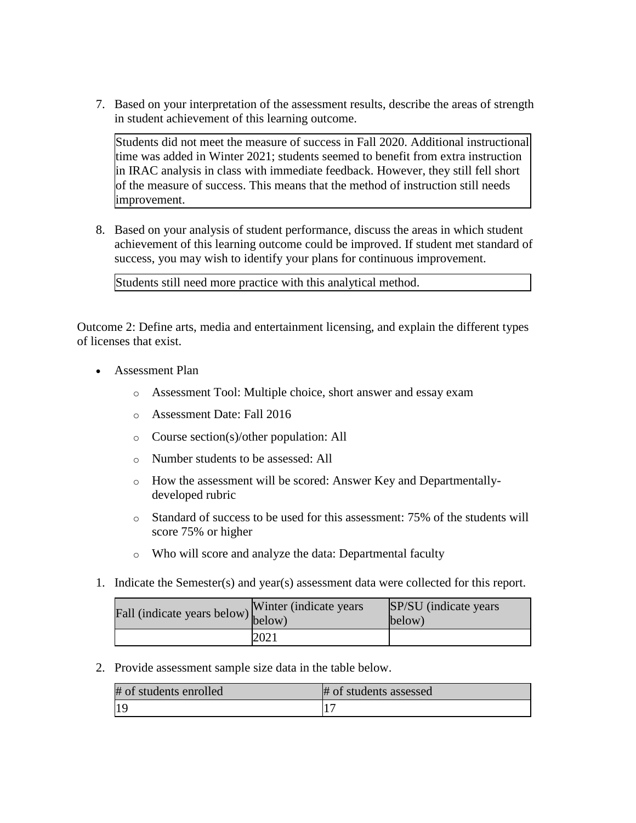7. Based on your interpretation of the assessment results, describe the areas of strength in student achievement of this learning outcome.

Students did not meet the measure of success in Fall 2020. Additional instructional time was added in Winter 2021; students seemed to benefit from extra instruction in IRAC analysis in class with immediate feedback. However, they still fell short of the measure of success. This means that the method of instruction still needs improvement.

8. Based on your analysis of student performance, discuss the areas in which student achievement of this learning outcome could be improved. If student met standard of success, you may wish to identify your plans for continuous improvement.

Students still need more practice with this analytical method.

Outcome 2: Define arts, media and entertainment licensing, and explain the different types of licenses that exist.

- Assessment Plan
	- o Assessment Tool: Multiple choice, short answer and essay exam
	- o Assessment Date: Fall 2016
	- o Course section(s)/other population: All
	- o Number students to be assessed: All
	- o How the assessment will be scored: Answer Key and Departmentallydeveloped rubric
	- o Standard of success to be used for this assessment: 75% of the students will score 75% or higher
	- o Who will score and analyze the data: Departmental faculty
- 1. Indicate the Semester(s) and year(s) assessment data were collected for this report.

| Fall (indicate years below) below) | Winter (indicate years) | SP/SU (indicate years)<br>below) |
|------------------------------------|-------------------------|----------------------------------|
|                                    | 2021                    |                                  |

2. Provide assessment sample size data in the table below.

| # of students enrolled | # of students assessed |
|------------------------|------------------------|
| 19                     |                        |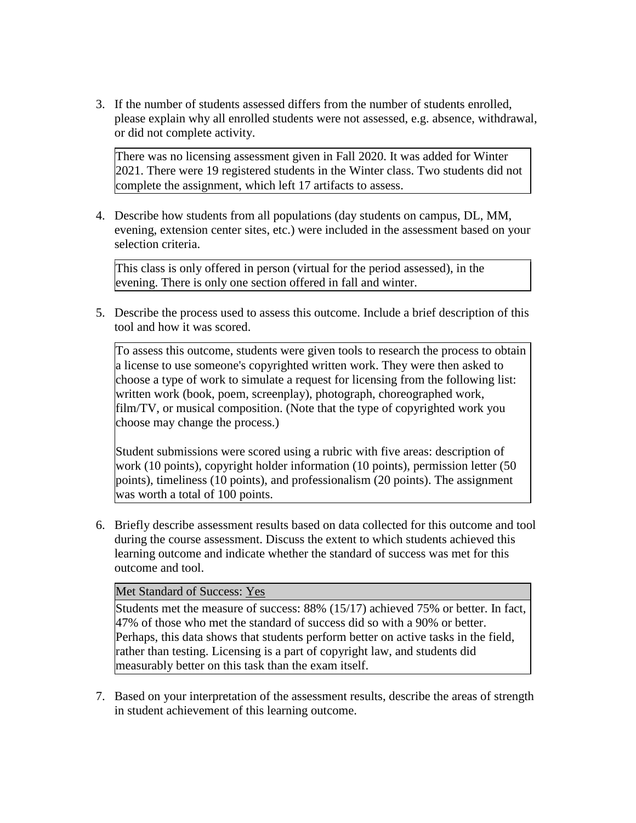3. If the number of students assessed differs from the number of students enrolled, please explain why all enrolled students were not assessed, e.g. absence, withdrawal, or did not complete activity.

There was no licensing assessment given in Fall 2020. It was added for Winter 2021. There were 19 registered students in the Winter class. Two students did not complete the assignment, which left 17 artifacts to assess.

4. Describe how students from all populations (day students on campus, DL, MM, evening, extension center sites, etc.) were included in the assessment based on your selection criteria.

This class is only offered in person (virtual for the period assessed), in the evening. There is only one section offered in fall and winter.

5. Describe the process used to assess this outcome. Include a brief description of this tool and how it was scored.

To assess this outcome, students were given tools to research the process to obtain a license to use someone's copyrighted written work. They were then asked to choose a type of work to simulate a request for licensing from the following list: written work (book, poem, screenplay), photograph, choreographed work, film/TV, or musical composition. (Note that the type of copyrighted work you choose may change the process.)

Student submissions were scored using a rubric with five areas: description of work (10 points), copyright holder information (10 points), permission letter (50 points), timeliness (10 points), and professionalism (20 points). The assignment was worth a total of 100 points.

6. Briefly describe assessment results based on data collected for this outcome and tool during the course assessment. Discuss the extent to which students achieved this learning outcome and indicate whether the standard of success was met for this outcome and tool.

### Met Standard of Success: Yes

Students met the measure of success: 88% (15/17) achieved 75% or better. In fact, 47% of those who met the standard of success did so with a 90% or better. Perhaps, this data shows that students perform better on active tasks in the field, rather than testing. Licensing is a part of copyright law, and students did measurably better on this task than the exam itself.

7. Based on your interpretation of the assessment results, describe the areas of strength in student achievement of this learning outcome.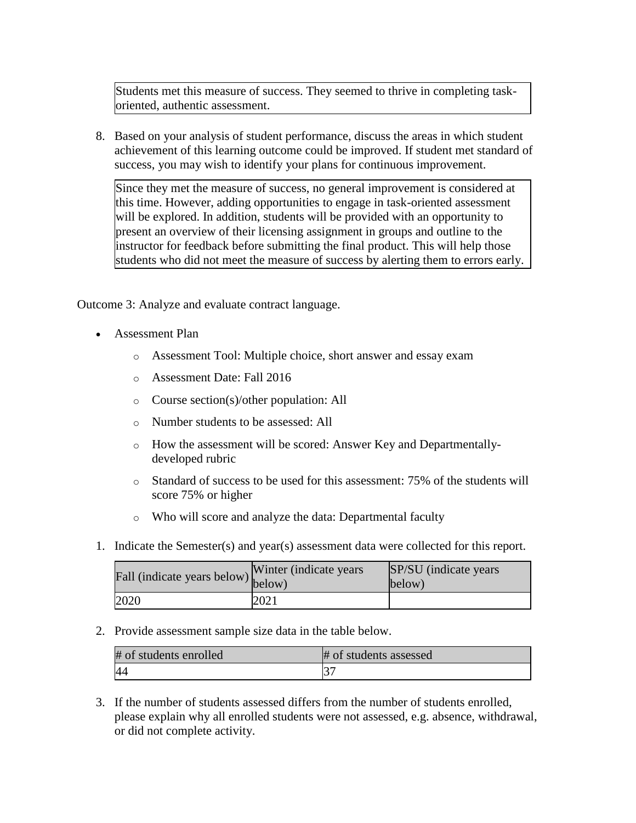Students met this measure of success. They seemed to thrive in completing taskoriented, authentic assessment.

8. Based on your analysis of student performance, discuss the areas in which student achievement of this learning outcome could be improved. If student met standard of success, you may wish to identify your plans for continuous improvement.

Since they met the measure of success, no general improvement is considered at this time. However, adding opportunities to engage in task-oriented assessment will be explored. In addition, students will be provided with an opportunity to present an overview of their licensing assignment in groups and outline to the instructor for feedback before submitting the final product. This will help those students who did not meet the measure of success by alerting them to errors early.

Outcome 3: Analyze and evaluate contract language.

- Assessment Plan
	- o Assessment Tool: Multiple choice, short answer and essay exam
	- o Assessment Date: Fall 2016
	- o Course section(s)/other population: All
	- o Number students to be assessed: All
	- o How the assessment will be scored: Answer Key and Departmentallydeveloped rubric
	- $\circ$  Standard of success to be used for this assessment: 75% of the students will score 75% or higher
	- o Who will score and analyze the data: Departmental faculty
- 1. Indicate the Semester(s) and year(s) assessment data were collected for this report.

| $\angle$ all (indicate years below) $\begin{bmatrix} 1 & 1 & 1 \\ 1 & 1 & 1 \\ 1 & 1 & 1 \end{bmatrix}$ | Winter (indicate years) | SP/SU (indicate years)<br>below) |
|---------------------------------------------------------------------------------------------------------|-------------------------|----------------------------------|
| 2020                                                                                                    | 2021                    |                                  |

2. Provide assessment sample size data in the table below.

| # of students enrolled | # of students assessed |
|------------------------|------------------------|
| 44                     |                        |

3. If the number of students assessed differs from the number of students enrolled, please explain why all enrolled students were not assessed, e.g. absence, withdrawal, or did not complete activity.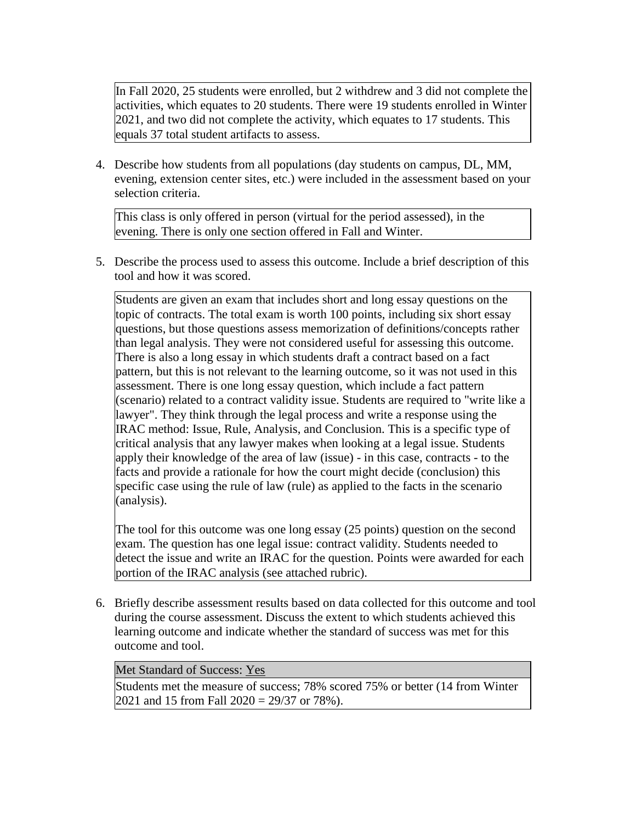In Fall 2020, 25 students were enrolled, but 2 withdrew and 3 did not complete the activities, which equates to 20 students. There were 19 students enrolled in Winter 2021, and two did not complete the activity, which equates to 17 students. This equals 37 total student artifacts to assess.

4. Describe how students from all populations (day students on campus, DL, MM, evening, extension center sites, etc.) were included in the assessment based on your selection criteria.

This class is only offered in person (virtual for the period assessed), in the evening. There is only one section offered in Fall and Winter.

5. Describe the process used to assess this outcome. Include a brief description of this tool and how it was scored.

Students are given an exam that includes short and long essay questions on the topic of contracts. The total exam is worth 100 points, including six short essay questions, but those questions assess memorization of definitions/concepts rather than legal analysis. They were not considered useful for assessing this outcome. There is also a long essay in which students draft a contract based on a fact pattern, but this is not relevant to the learning outcome, so it was not used in this assessment. There is one long essay question, which include a fact pattern (scenario) related to a contract validity issue. Students are required to "write like a lawyer". They think through the legal process and write a response using the IRAC method: Issue, Rule, Analysis, and Conclusion. This is a specific type of critical analysis that any lawyer makes when looking at a legal issue. Students apply their knowledge of the area of law (issue) - in this case, contracts - to the facts and provide a rationale for how the court might decide (conclusion) this specific case using the rule of law (rule) as applied to the facts in the scenario (analysis).

The tool for this outcome was one long essay (25 points) question on the second exam. The question has one legal issue: contract validity. Students needed to detect the issue and write an IRAC for the question. Points were awarded for each portion of the IRAC analysis (see attached rubric).

6. Briefly describe assessment results based on data collected for this outcome and tool during the course assessment. Discuss the extent to which students achieved this learning outcome and indicate whether the standard of success was met for this outcome and tool.

### Met Standard of Success: Yes

Students met the measure of success; 78% scored 75% or better (14 from Winter 2021 and 15 from Fall 2020 = 29/37 or 78%).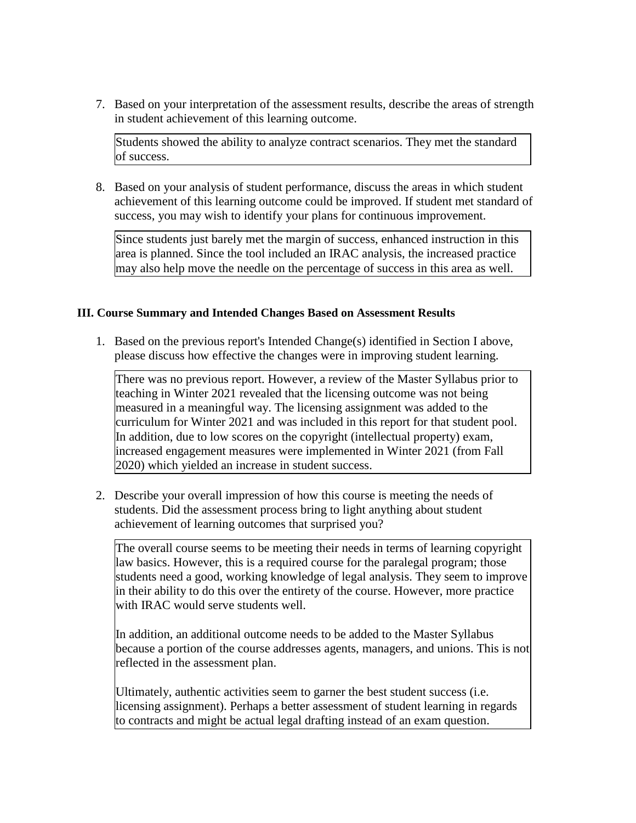7. Based on your interpretation of the assessment results, describe the areas of strength in student achievement of this learning outcome.

Students showed the ability to analyze contract scenarios. They met the standard of success.

8. Based on your analysis of student performance, discuss the areas in which student achievement of this learning outcome could be improved. If student met standard of success, you may wish to identify your plans for continuous improvement.

Since students just barely met the margin of success, enhanced instruction in this area is planned. Since the tool included an IRAC analysis, the increased practice may also help move the needle on the percentage of success in this area as well.

### **III. Course Summary and Intended Changes Based on Assessment Results**

1. Based on the previous report's Intended Change(s) identified in Section I above, please discuss how effective the changes were in improving student learning.

There was no previous report. However, a review of the Master Syllabus prior to teaching in Winter 2021 revealed that the licensing outcome was not being measured in a meaningful way. The licensing assignment was added to the curriculum for Winter 2021 and was included in this report for that student pool. In addition, due to low scores on the copyright (intellectual property) exam, increased engagement measures were implemented in Winter 2021 (from Fall 2020) which yielded an increase in student success.

2. Describe your overall impression of how this course is meeting the needs of students. Did the assessment process bring to light anything about student achievement of learning outcomes that surprised you?

The overall course seems to be meeting their needs in terms of learning copyright law basics. However, this is a required course for the paralegal program; those students need a good, working knowledge of legal analysis. They seem to improve in their ability to do this over the entirety of the course. However, more practice with IRAC would serve students well.

In addition, an additional outcome needs to be added to the Master Syllabus because a portion of the course addresses agents, managers, and unions. This is not reflected in the assessment plan.

Ultimately, authentic activities seem to garner the best student success (i.e. licensing assignment). Perhaps a better assessment of student learning in regards to contracts and might be actual legal drafting instead of an exam question.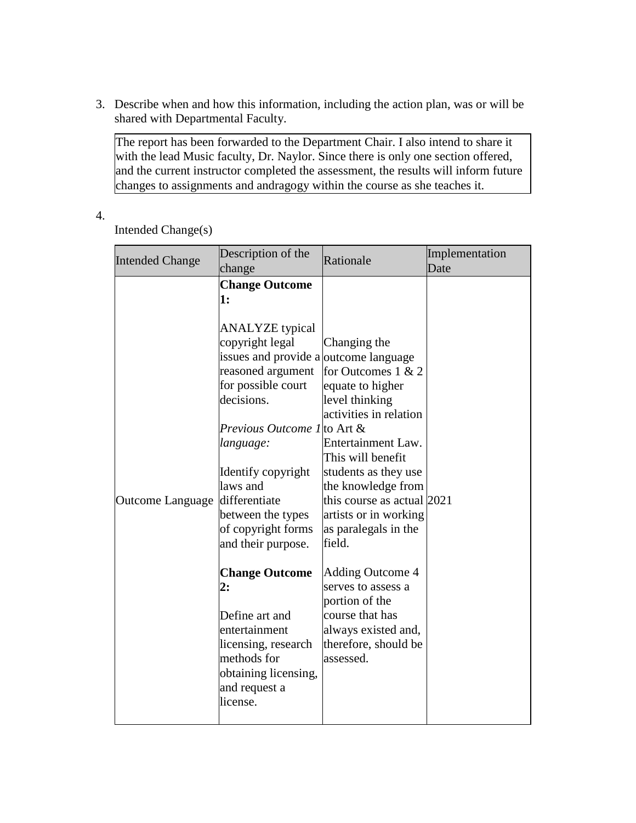3. Describe when and how this information, including the action plan, was or will be shared with Departmental Faculty.

The report has been forwarded to the Department Chair. I also intend to share it with the lead Music faculty, Dr. Naylor. Since there is only one section offered, and the current instructor completed the assessment, the results will inform future changes to assignments and andragogy within the course as she teaches it.

4.

Intended Change(s)

| <b>Intended Change</b>  | Description of the<br>change                                                                                                                                                                                                                                                                                                                                                                                                                                                                                   | Rationale                                                                                                                                                                                                                                                                                                                                                                                                                                | Implementation<br>Date |
|-------------------------|----------------------------------------------------------------------------------------------------------------------------------------------------------------------------------------------------------------------------------------------------------------------------------------------------------------------------------------------------------------------------------------------------------------------------------------------------------------------------------------------------------------|------------------------------------------------------------------------------------------------------------------------------------------------------------------------------------------------------------------------------------------------------------------------------------------------------------------------------------------------------------------------------------------------------------------------------------------|------------------------|
| <b>Outcome Language</b> | <b>Change Outcome</b><br>1:<br><b>ANALYZE</b> typical<br>copyright legal<br>issues and provide a outcome language<br>reasoned argument<br>for possible court<br>decisions.<br><i>Previous Outcome 1</i> to Art &<br>language:<br>Identify copyright<br>laws and<br>differentiate<br>between the types<br>of copyright forms<br>and their purpose.<br><b>Change Outcome</b><br>2:<br>Define art and<br>entertainment<br>licensing, research<br>methods for<br>obtaining licensing,<br>and request a<br>license. | Changing the<br>for Outcomes $1 & 2$<br>equate to higher<br>level thinking<br>activities in relation<br>Entertainment Law.<br>This will benefit<br>students as they use<br>the knowledge from<br>this course as actual 2021<br>artists or in working<br>as paralegals in the<br>field.<br><b>Adding Outcome 4</b><br>serves to assess a<br>portion of the<br>course that has<br>always existed and,<br>therefore, should be<br>assessed. |                        |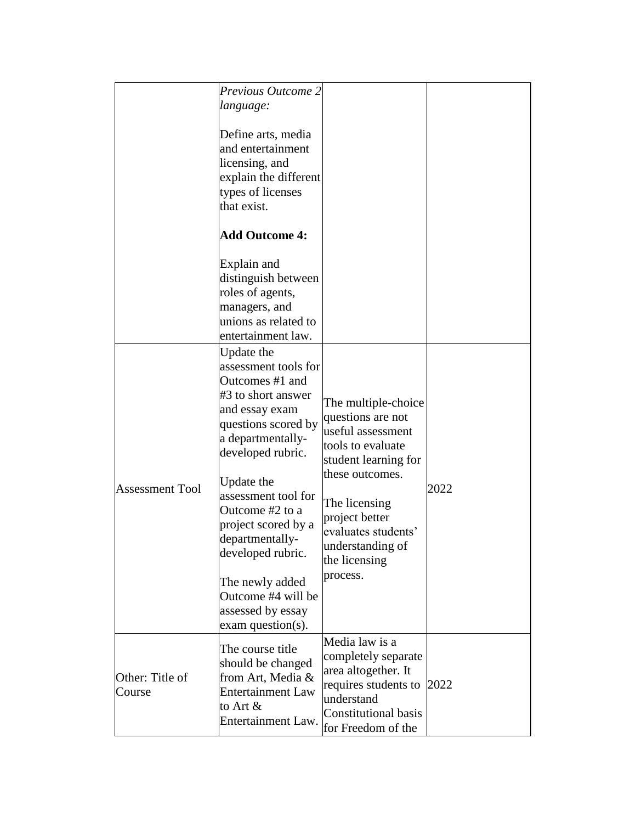|                           | Previous Outcome 2<br>language:                                                                                                                                                                                                                                                                                                                                            |                                                                                                                                                                                                                                          |      |
|---------------------------|----------------------------------------------------------------------------------------------------------------------------------------------------------------------------------------------------------------------------------------------------------------------------------------------------------------------------------------------------------------------------|------------------------------------------------------------------------------------------------------------------------------------------------------------------------------------------------------------------------------------------|------|
|                           | Define arts, media<br>and entertainment<br>licensing, and<br>explain the different<br>types of licenses<br>that exist.                                                                                                                                                                                                                                                     |                                                                                                                                                                                                                                          |      |
|                           | <b>Add Outcome 4:</b>                                                                                                                                                                                                                                                                                                                                                      |                                                                                                                                                                                                                                          |      |
|                           | Explain and<br>distinguish between<br>roles of agents,<br>managers, and<br>unions as related to<br>entertainment law.                                                                                                                                                                                                                                                      |                                                                                                                                                                                                                                          |      |
| <b>Assessment Tool</b>    | Update the<br>assessment tools for<br>Outcomes #1 and<br>#3 to short answer<br>and essay exam<br>questions scored by<br>a departmentally-<br>developed rubric.<br>Update the<br>assessment tool for<br>Outcome #2 to a<br>project scored by a<br>departmentally-<br>developed rubric.<br>The newly added<br>Outcome #4 will be<br>assessed by essay<br>$exam$ question(s). | The multiple-choice<br>questions are not<br>useful assessment<br>tools to evaluate<br>student learning for<br>these outcomes.<br>The licensing<br>project better<br>evaluates students'<br>understanding of<br>the licensing<br>process. | 2022 |
| Other: Title of<br>Course | The course title<br>should be changed<br>from Art, Media &<br><b>Entertainment Law</b><br>to Art &<br>Entertainment Law.                                                                                                                                                                                                                                                   | Media law is a<br>completely separate<br>area altogether. It<br>requires students to<br>understand<br><b>Constitutional basis</b><br>for Freedom of the                                                                                  | 2022 |